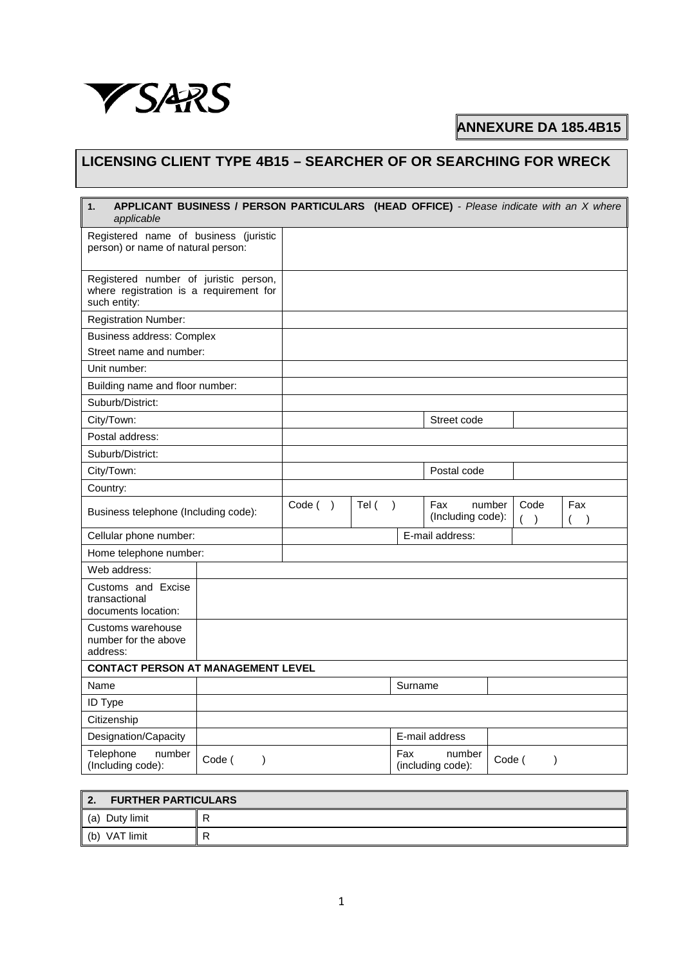

**ANNEXURE DA 185.4B15**

## **LICENSING CLIENT TYPE 4B15 – SEARCHER OF OR SEARCHING FOR WRECK**

| 1.<br>applicable                                                                                 | APPLICANT BUSINESS / PERSON PARTICULARS (HEAD OFFICE) - Please indicate with an X where |         |        |                             |                          |        |                                     |     |
|--------------------------------------------------------------------------------------------------|-----------------------------------------------------------------------------------------|---------|--------|-----------------------------|--------------------------|--------|-------------------------------------|-----|
| Registered name of business (juristic<br>person) or name of natural person:                      |                                                                                         |         |        |                             |                          |        |                                     |     |
| Registered number of juristic person,<br>where registration is a requirement for<br>such entity: |                                                                                         |         |        |                             |                          |        |                                     |     |
| <b>Registration Number:</b>                                                                      |                                                                                         |         |        |                             |                          |        |                                     |     |
| <b>Business address: Complex</b>                                                                 |                                                                                         |         |        |                             |                          |        |                                     |     |
| Street name and number:                                                                          |                                                                                         |         |        |                             |                          |        |                                     |     |
| Unit number:                                                                                     |                                                                                         |         |        |                             |                          |        |                                     |     |
| Building name and floor number:                                                                  |                                                                                         |         |        |                             |                          |        |                                     |     |
| Suburb/District:                                                                                 |                                                                                         |         |        |                             |                          |        |                                     |     |
| City/Town:                                                                                       |                                                                                         |         |        | Street code                 |                          |        |                                     |     |
| Postal address:                                                                                  |                                                                                         |         |        |                             |                          |        |                                     |     |
| Suburb/District:                                                                                 |                                                                                         |         |        |                             |                          |        |                                     |     |
| City/Town:                                                                                       |                                                                                         |         |        | Postal code                 |                          |        |                                     |     |
| Country:                                                                                         |                                                                                         |         |        |                             |                          |        |                                     |     |
| Business telephone (Including code):                                                             |                                                                                         | Code( ) | Tel( ) |                             | Fax<br>(Including code): | number | Code<br>$\overline{(}$<br>$\lambda$ | Fax |
| Cellular phone number:                                                                           |                                                                                         |         |        | E-mail address:             |                          |        |                                     |     |
| Home telephone number:                                                                           |                                                                                         |         |        |                             |                          |        |                                     |     |
| Web address:                                                                                     |                                                                                         |         |        |                             |                          |        |                                     |     |
| Customs and Excise<br>transactional<br>documents location:                                       |                                                                                         |         |        |                             |                          |        |                                     |     |
| Customs warehouse<br>number for the above<br>address:                                            |                                                                                         |         |        |                             |                          |        |                                     |     |
| <b>CONTACT PERSON AT MANAGEMENT LEVEL</b>                                                        |                                                                                         |         |        |                             |                          |        |                                     |     |
| Name                                                                                             |                                                                                         |         |        | Surname                     |                          |        |                                     |     |
| ID Type                                                                                          |                                                                                         |         |        |                             |                          |        |                                     |     |
| Citizenship                                                                                      |                                                                                         |         |        |                             |                          |        |                                     |     |
| Designation/Capacity                                                                             |                                                                                         |         |        |                             | E-mail address           |        |                                     |     |
| Telephone<br>number<br>(Including code):                                                         |                                                                                         |         | Fax    | number<br>(including code): | Code (                   |        | $\mathcal{E}$                       |     |

| <b>FURTHER PARTICULARS</b><br>2. |     |  |  |  |
|----------------------------------|-----|--|--|--|
| (a) Duty limit                   |     |  |  |  |
| VAT limit<br>(b)                 | . . |  |  |  |